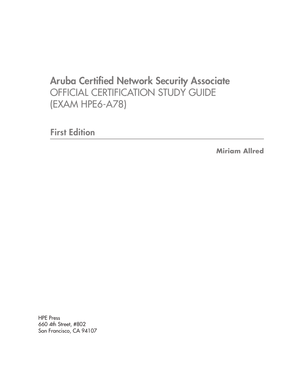# Aruba Certified Network Security Associate OFFICIAL CERTIFICATION STUDY GUIDE (EXAM HPE6-A78)

First Edition

**Miriam Allred**

HPE Press 660 4th Street, #802 San Francisco, CA 94107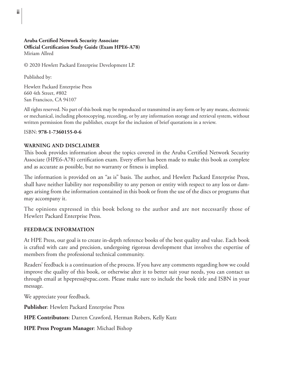#### **Aruba Certified Network Security Associate Official Certification Study Guide (Exam HPE6-A78)** Miriam Allred

© 2020 Hewlett Packard Enterprise Development LP.

Published by:

Hewlett Packard Enterprise Press 660 4th Street, #802 San Francisco, CA 94107

All rights reserved. No part of this book may be reproduced or transmitted in any form or by any means, electronic or mechanical, including photocopying, recording, or by any information storage and retrieval system, without written permission from the publisher, except for the inclusion of brief quotations in a review.

#### ISBN: **978-1-7360155-0-6**

#### **WARNING AND DISCLAIMER**

This book provides information about the topics covered in the Aruba Certified Network Security Associate (HPE6-A78) certification exam. Every effort has been made to make this book as complete and as accurate as possible, but no warranty or fitness is implied.

The information is provided on an "as is" basis. The author, and Hewlett Packard Enterprise Press, shall have neither liability nor responsibility to any person or entity with respect to any loss or damages arising from the information contained in this book or from the use of the discs or programs that may accompany it.

The opinions expressed in this book belong to the author and are not necessarily those of Hewlett Packard Enterprise Press.

#### **FEEDBACK INFORMATION**

At HPE Press, our goal is to create in-depth reference books of the best quality and value. Each book is crafted with care and precision, undergoing rigorous development that involves the expertise of members from the professional technical community.

Readers' feedback is a continuation of the process. If you have any comments regarding how we could improve the quality of this book, or otherwise alter it to better suit your needs, you can contact us through email at hpepress@epac.com. Please make sure to include the book title and ISBN in your message.

We appreciate your feedback.

**Publisher**: Hewlett Packard Enterprise Press

**HPE Contributors**: Darren Crawford, Herman Robers, Kelly Kutz

**HPE Press Program Manager**: Michael Bishop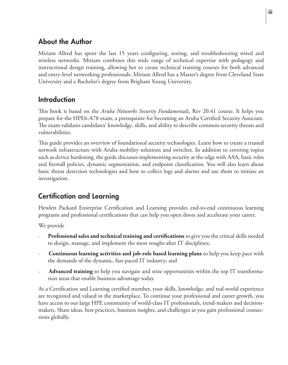### About the Author

Miriam Allred has spent the last 15 years configuring, testing, and troubleshooting wired and wireless networks. Miriam combines this wide range of technical expertise with pedagogy and instructional design training, allowing her to create technical training courses for both advanced and entry-level networking professionals. Miriam Allred has a Master's degree from Cleveland State University and a Bachelor's degree from Brigham Young University.

#### Introduction

This book is based on the *Aruba Networks Security Fundamentals*, Rev 20.41 course. It helps you prepare for the HPE6-A78 exam, a prerequisite for becoming an Aruba Certified Security Associate. The exam validates candidates' knowledge, skills, and ability to describe common security threats and vulnerabilities.

This guide provides an overview of foundational security technologies. Learn how to create a trusted network infrastructure with Aruba mobility solutions and switches. In addition to covering topics such as device hardening, the guide discusses implementing security at the edge with AAA, basic roles and firewall policies, dynamic segmentation, and endpoint classification. You will also learn about basic threat detection technologies and how to collect logs and alarms and use them to initiate an investigation.

## Certification and Learning

Hewlett Packard Enterprise Certification and Learning provides end-to-end continuous learning programs and professional certifications that can help you open doors and accelerate your career.

We provide

- **Professional sales and technical training and certifications** to give you the critical skills needed to design, manage, and implement the most sought-after IT disciplines;
- **Continuous learning activities and job-role based learning plans** to help you keep pace with the demands of the dynamic, fast-paced IT industry; and
- **Advanced training** to help you navigate and seize opportunities within the top IT transformation areas that enable business advantage today.

As a Certification and Learning certified member, your skills, knowledge, and real-world experience are recognized and valued in the marketplace. To continue your professional and career growth, you have access to our large HPE community of world-class IT professionals, trend-makers and decisionmakers. Share ideas, best practices, business insights, and challenges as you gain professional connections globally.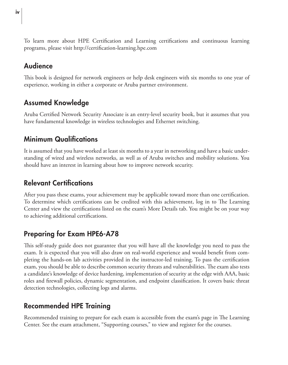To learn more about HPE Certification and Learning certifications and continuous learning programs, please visit http://certification-learning.hpe.com

### Audience

This book is designed for network engineers or help desk engineers with six months to one year of experience, working in either a corporate or Aruba partner environment.

## Assumed Knowledge

Aruba Certified Network Security Associate is an entry-level security book, but it assumes that you have fundamental knowledge in wireless technologies and Ethernet switching.

### Minimum Qualifications

It is assumed that you have worked at least six months to a year in networking and have a basic understanding of wired and wireless networks, as well as of Aruba switches and mobility solutions. You should have an interest in learning about how to improve network security.

## Relevant Certifications

After you pass these exams, your achievement may be applicable toward more than one certification. To determine which certifications can be credited with this achievement, log in to The Learning Center and view the certifications listed on the exam's More Details tab. You might be on your way to achieving additional certifications.

## Preparing for Exam HPE6-A78

This self-study guide does not guarantee that you will have all the knowledge you need to pass the exam. It is expected that you will also draw on real-world experience and would benefit from completing the hands-on lab activities provided in the instructor-led training. To pass the certification exam, you should be able to describe common security threats and vulnerabilities. The exam also tests a candidate's knowledge of device hardening, implementation of security at the edge with AAA, basic roles and firewall policies, dynamic segmentation, and endpoint classification. It covers basic threat detection technologies, collecting logs and alarms.

## Recommended HPE Training

Recommended training to prepare for each exam is accessible from the exam's page in The Learning Center. See the exam attachment, "Supporting courses," to view and register for the courses.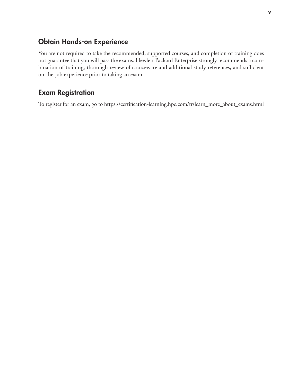#### Obtain Hands-on Experience

You are not required to take the recommended, supported courses, and completion of training does not guarantee that you will pass the exams. Hewlett Packard Enterprise strongly recommends a combination of training, thorough review of courseware and additional study references, and sufficient on-the-job experience prior to taking an exam.

#### Exam Registration

To register for an exam, go to https://certification-learning.hpe.com/tr/learn\_more\_about\_exams.html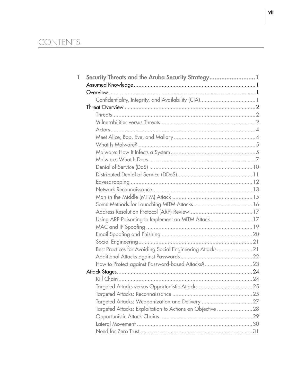# CONTENTS

| 1 | Security Threats and the Aruba Security Strategy 1        |  |
|---|-----------------------------------------------------------|--|
|   |                                                           |  |
|   |                                                           |  |
|   |                                                           |  |
|   |                                                           |  |
|   |                                                           |  |
|   |                                                           |  |
|   |                                                           |  |
|   |                                                           |  |
|   |                                                           |  |
|   |                                                           |  |
|   |                                                           |  |
|   |                                                           |  |
|   |                                                           |  |
|   |                                                           |  |
|   |                                                           |  |
|   |                                                           |  |
|   |                                                           |  |
|   |                                                           |  |
|   | Using ARP Poisoning to Implement an MITM Attack 17        |  |
|   |                                                           |  |
|   |                                                           |  |
|   |                                                           |  |
|   | Best Practices for Avoiding Social Engineering Attacks21  |  |
|   |                                                           |  |
|   | How to Protect against Password-based Attacks?23          |  |
|   |                                                           |  |
|   |                                                           |  |
|   |                                                           |  |
|   |                                                           |  |
|   |                                                           |  |
|   | Targeted Attacks: Exploitation to Actions on Objective 28 |  |
|   |                                                           |  |
|   |                                                           |  |
|   |                                                           |  |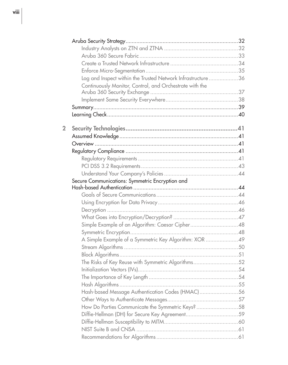|                | Log and Inspect within the Trusted Network Infrastructure 36 |  |
|----------------|--------------------------------------------------------------|--|
|                | Continuously Monitor, Control, and Orchestrate with the      |  |
|                |                                                              |  |
|                |                                                              |  |
|                |                                                              |  |
|                |                                                              |  |
|                |                                                              |  |
| $\overline{2}$ |                                                              |  |
|                |                                                              |  |
|                |                                                              |  |
|                |                                                              |  |
|                |                                                              |  |
|                |                                                              |  |
|                |                                                              |  |
|                | Secure Communications: Symmetric Encryption and              |  |
|                |                                                              |  |
|                |                                                              |  |
|                |                                                              |  |
|                |                                                              |  |
|                |                                                              |  |
|                | Simple Example of an Algorithm: Caesar Cipher48              |  |
|                | A Simple Example of a Symmetric Key Algorithm: XOR 49        |  |
|                |                                                              |  |
|                |                                                              |  |
|                | The Risks of Key Reuse with Symmetric Algorithms52           |  |
|                |                                                              |  |
|                |                                                              |  |
|                |                                                              |  |
|                | Hash-based Message Authentication Codes (HMAC)56             |  |
|                |                                                              |  |
|                | How Do Parties Communicate the Symmetric Keys? 58            |  |
|                |                                                              |  |
|                |                                                              |  |
|                |                                                              |  |
|                |                                                              |  |
|                |                                                              |  |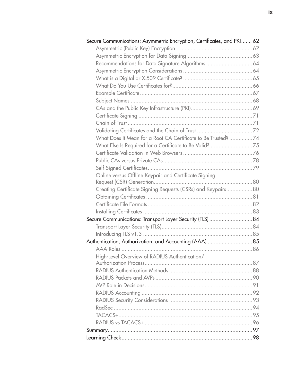| Secure Communications: Asymmetric Encryption, Certificates, and PKI 62 |  |
|------------------------------------------------------------------------|--|
|                                                                        |  |
|                                                                        |  |
| Recommendations for Data Signature Algorithms  64                      |  |
|                                                                        |  |
|                                                                        |  |
|                                                                        |  |
|                                                                        |  |
|                                                                        |  |
|                                                                        |  |
|                                                                        |  |
|                                                                        |  |
|                                                                        |  |
| What Does It Mean for a Root CA Certificate to Be Trusted? 74          |  |
| What Else Is Required for a Certificate to Be Valid? 75                |  |
|                                                                        |  |
|                                                                        |  |
|                                                                        |  |
| Online versus Offline Keypair and Certificate Signing                  |  |
|                                                                        |  |
| Creating Certificate Signing Requests (CSRs) and Keypairs80            |  |
|                                                                        |  |
|                                                                        |  |
|                                                                        |  |
| Secure Communications: Transport Layer Security (TLS)84                |  |
|                                                                        |  |
|                                                                        |  |
|                                                                        |  |
|                                                                        |  |
| High-Level Overview of RADIUS Authentication/                          |  |
|                                                                        |  |
|                                                                        |  |
|                                                                        |  |
|                                                                        |  |
|                                                                        |  |
|                                                                        |  |
|                                                                        |  |
|                                                                        |  |
|                                                                        |  |
|                                                                        |  |
|                                                                        |  |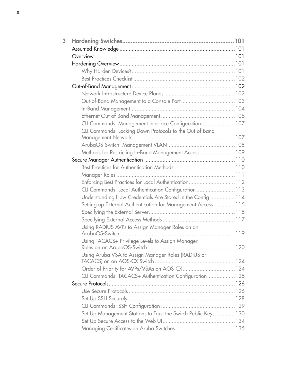| CLI Commands: Management Interface Configuration 107           |  |
|----------------------------------------------------------------|--|
| CLI Commands: Locking Down Protocols to the Out-of-Band        |  |
|                                                                |  |
|                                                                |  |
| Methods for Restricting In-Band Management Access 109          |  |
|                                                                |  |
|                                                                |  |
| Enforcing Best Practices for Local Authentication112           |  |
| CLI Commands: Local Authentication Configuration 113           |  |
| Understanding How Credentials Are Stored in the Config 114     |  |
| Setting up External Authentication for Management Access 115   |  |
|                                                                |  |
|                                                                |  |
| Using RADIUS AVPs to Assign Manager Roles on an                |  |
|                                                                |  |
| Using TACACS+ Privilege Levels to Assign Manager               |  |
|                                                                |  |
| Using Aruba VSA to Assign Manager Roles (RADIUS or             |  |
|                                                                |  |
|                                                                |  |
| CLI Commands: TACACS+ Authentication Configuration 125         |  |
|                                                                |  |
|                                                                |  |
|                                                                |  |
|                                                                |  |
| Set Up Management Stations to Trust the Switch Public Keys 130 |  |
|                                                                |  |
|                                                                |  |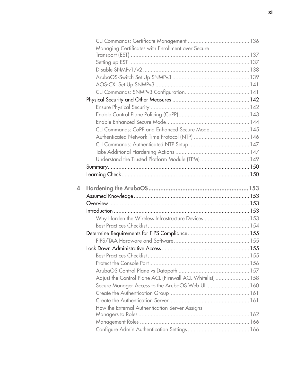|   | Managing Certificates with Enrollment over Secure          |  |
|---|------------------------------------------------------------|--|
|   |                                                            |  |
|   |                                                            |  |
|   |                                                            |  |
|   |                                                            |  |
|   |                                                            |  |
|   |                                                            |  |
|   |                                                            |  |
|   |                                                            |  |
|   |                                                            |  |
|   |                                                            |  |
|   | CLI Commands: CoPP and Enhanced Secure Mode 145            |  |
|   |                                                            |  |
|   |                                                            |  |
|   |                                                            |  |
|   | Understand the Trusted Platform Module (TPM) 149           |  |
|   |                                                            |  |
|   |                                                            |  |
|   |                                                            |  |
| 4 |                                                            |  |
|   |                                                            |  |
|   |                                                            |  |
|   |                                                            |  |
|   | Why Harden the Wireless Infrastructure Devices 153         |  |
|   |                                                            |  |
|   |                                                            |  |
|   |                                                            |  |
|   |                                                            |  |
|   |                                                            |  |
|   |                                                            |  |
|   |                                                            |  |
|   | Adjust the Control Plane ACL (Firewall ACL Whitelist)  158 |  |
|   | Secure Manager Access to the ArubaOS Web UI 160            |  |
|   |                                                            |  |
|   |                                                            |  |
|   | How the External Authentication Server Assigns             |  |
|   |                                                            |  |
|   |                                                            |  |
|   |                                                            |  |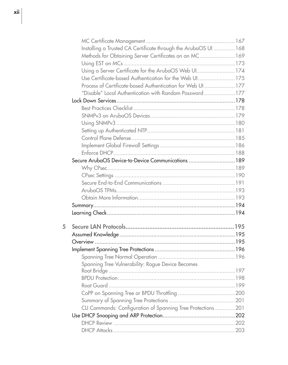|   | Installing a Trusted CA Certificate through the ArubaOS UI  168 |  |
|---|-----------------------------------------------------------------|--|
|   | Methods for Obtaining Server Certificates on an MC 169          |  |
|   |                                                                 |  |
|   | Using a Server Certificate for the ArubaOS Web UI174            |  |
|   | Use Certificate-based Authentication for the Web UI175          |  |
|   | Process of Certificate-based Authentication for Web UI177       |  |
|   | "Disable" Local Authentication with Random Password 177         |  |
|   |                                                                 |  |
|   |                                                                 |  |
|   |                                                                 |  |
|   |                                                                 |  |
|   |                                                                 |  |
|   |                                                                 |  |
|   |                                                                 |  |
|   |                                                                 |  |
|   | Secure ArubaOS Device-to-Device Communications  189             |  |
|   |                                                                 |  |
|   |                                                                 |  |
|   |                                                                 |  |
|   |                                                                 |  |
|   |                                                                 |  |
|   |                                                                 |  |
|   |                                                                 |  |
|   |                                                                 |  |
| 5 |                                                                 |  |
|   |                                                                 |  |
|   |                                                                 |  |
|   |                                                                 |  |
|   |                                                                 |  |
|   | Spanning Tree Vulnerability: Rogue Device Becomes               |  |
|   |                                                                 |  |
|   |                                                                 |  |
|   |                                                                 |  |
|   |                                                                 |  |
|   | CLI Commands: Configuration of Spanning Tree Protections  201   |  |
|   |                                                                 |  |
|   |                                                                 |  |
|   |                                                                 |  |
|   |                                                                 |  |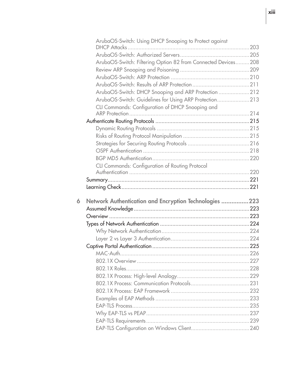|   | ArubaOS-Switch: Using DHCP Snooping to Protect against        |  |
|---|---------------------------------------------------------------|--|
|   |                                                               |  |
|   | ArubaOS-Switch: Filtering Option 82 from Connected Devices208 |  |
|   |                                                               |  |
|   |                                                               |  |
|   |                                                               |  |
|   | ArubaOS-Switch: DHCP Snooping and ARP Protection 212          |  |
|   | ArubaOS-Switch: Guidelines for Using ARP Protection213        |  |
|   | CLI Commands: Configuration of DHCP Snooping and              |  |
|   |                                                               |  |
|   |                                                               |  |
|   |                                                               |  |
|   |                                                               |  |
|   |                                                               |  |
|   |                                                               |  |
|   |                                                               |  |
|   | CLI Commands: Configuration of Routing Protocol               |  |
|   |                                                               |  |
|   |                                                               |  |
|   |                                                               |  |
|   |                                                               |  |
| 6 |                                                               |  |
|   | Network Authentication and Encryption Technologies 223        |  |
|   |                                                               |  |
|   |                                                               |  |
|   |                                                               |  |
|   |                                                               |  |
|   |                                                               |  |
|   |                                                               |  |
|   |                                                               |  |
|   |                                                               |  |
|   |                                                               |  |
|   |                                                               |  |
|   |                                                               |  |
|   |                                                               |  |
|   |                                                               |  |
|   |                                                               |  |
|   |                                                               |  |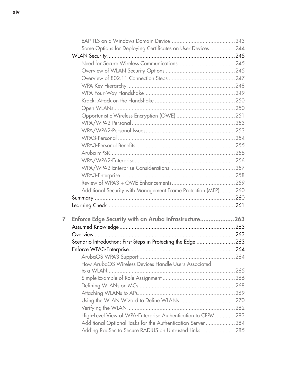|   | Some Options for Deploying Certificates on User Devices244    |      |
|---|---------------------------------------------------------------|------|
|   |                                                               |      |
|   |                                                               |      |
|   |                                                               |      |
|   |                                                               |      |
|   |                                                               |      |
|   |                                                               |      |
|   |                                                               |      |
|   |                                                               |      |
|   |                                                               |      |
|   |                                                               |      |
|   |                                                               |      |
|   |                                                               |      |
|   |                                                               |      |
|   |                                                               |      |
|   |                                                               |      |
|   |                                                               |      |
|   |                                                               |      |
|   |                                                               |      |
|   | Additional Security with Management Frame Protection (MFP)260 |      |
|   |                                                               |      |
|   |                                                               |      |
| 7 | Enforce Edge Security with an Aruba Infrastructure263         |      |
|   |                                                               |      |
|   |                                                               |      |
|   | Scenario Introduction: First Steps in Protecting the Edge 263 |      |
|   |                                                               |      |
|   |                                                               |      |
|   | How ArubaOS Wireless Devices Handle Users Associated          |      |
|   |                                                               | .265 |
|   |                                                               |      |
|   |                                                               |      |
|   |                                                               |      |
|   |                                                               |      |
|   |                                                               |      |
|   | High-Level View of WPA-Enterprise Authentication to CPPM283   |      |
|   | Additional Optional Tasks for the Authentication Server284    |      |
|   | Adding RadSec to Secure RADIUS on Untrusted Links285          |      |
|   |                                                               |      |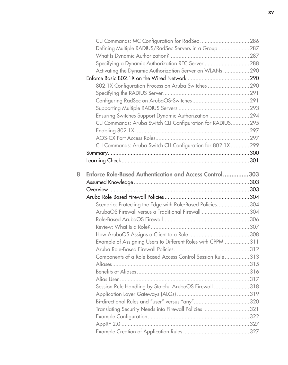|   | CLI Commands: MC Configuration for RadSec 286                                                                   |  |
|---|-----------------------------------------------------------------------------------------------------------------|--|
|   | Defining Multiple RADIUS/RadSec Servers in a Group 287                                                          |  |
|   |                                                                                                                 |  |
|   | Specifying a Dynamic Authorization RFC Server 288                                                               |  |
|   | Activating the Dynamic Authorization Server on WLANs 290                                                        |  |
|   |                                                                                                                 |  |
|   | 802.1X Configuration Process on Aruba Switches290                                                               |  |
|   |                                                                                                                 |  |
|   |                                                                                                                 |  |
|   |                                                                                                                 |  |
|   | Ensuring Switches Support Dynamic Authorization 294                                                             |  |
|   | CLI Commands: Aruba Switch CLI Configuration for RADIUS295                                                      |  |
|   |                                                                                                                 |  |
|   |                                                                                                                 |  |
|   | CLI Commands: Aruba Switch CLI Configuration for 802.1X 299                                                     |  |
|   |                                                                                                                 |  |
|   |                                                                                                                 |  |
|   |                                                                                                                 |  |
| 8 | Enforce Role-Based Authentication and Access Control303                                                         |  |
|   |                                                                                                                 |  |
|   |                                                                                                                 |  |
|   |                                                                                                                 |  |
|   | Scenario: Protecting the Edge with Role-Based Policies304<br>ArubaOS Firewall versus a Traditional Firewall 304 |  |
|   |                                                                                                                 |  |
|   |                                                                                                                 |  |
|   |                                                                                                                 |  |
|   | Example of Assigning Users to Different Roles with CPPM 311                                                     |  |
|   |                                                                                                                 |  |
|   | Components of a Role-Based Access Control Session Rule313                                                       |  |
|   |                                                                                                                 |  |
|   |                                                                                                                 |  |
|   | Alias User                                                                                                      |  |
|   | Session Rule Handling by Stateful ArubaOS Firewall 318                                                          |  |
|   |                                                                                                                 |  |
|   |                                                                                                                 |  |
|   | Translating Security Needs into Firewall Policies 321                                                           |  |
|   |                                                                                                                 |  |
|   | AppRF 2.0                                                                                                       |  |
|   |                                                                                                                 |  |
|   |                                                                                                                 |  |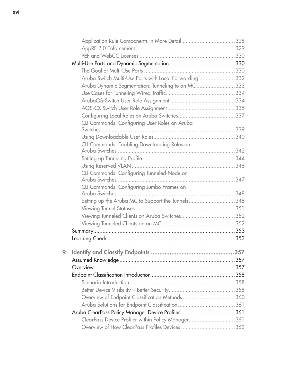|   | Application Rule Components in More Detail 328         |  |
|---|--------------------------------------------------------|--|
|   |                                                        |  |
|   |                                                        |  |
|   |                                                        |  |
|   |                                                        |  |
|   | Aruba Switch Multi-Use Ports with Local Forwarding 332 |  |
|   | Aruba Dynamic Segmentation: Tunneling to an MC333      |  |
|   |                                                        |  |
|   |                                                        |  |
|   |                                                        |  |
|   |                                                        |  |
|   | CLI Commands: Configuring User Roles on Aruba          |  |
|   |                                                        |  |
|   |                                                        |  |
|   | CLI Commands: Enabling Downloading Roles on            |  |
|   |                                                        |  |
|   |                                                        |  |
|   |                                                        |  |
|   | CLI Commands: Configuring Tunneled-Node on             |  |
|   |                                                        |  |
|   | CLI Commands: Configuring Jumbo Frames on              |  |
|   | Setting up the Aruba MC to Support the Tunnels348      |  |
|   |                                                        |  |
|   | Viewing Tunneled Clients on Aruba Switches352          |  |
|   |                                                        |  |
|   |                                                        |  |
|   |                                                        |  |
|   |                                                        |  |
| 9 |                                                        |  |
|   |                                                        |  |
|   |                                                        |  |
|   |                                                        |  |
|   |                                                        |  |
|   |                                                        |  |
|   | Overview of Endpoint Classification Methods360         |  |
|   |                                                        |  |
|   | Aruba ClearPass Policy Manager Device Profiler 361     |  |
|   | ClearPass Device Profiler within Policy Manager361     |  |
|   | Overview of How ClearPass Profiles Devices 363         |  |
|   |                                                        |  |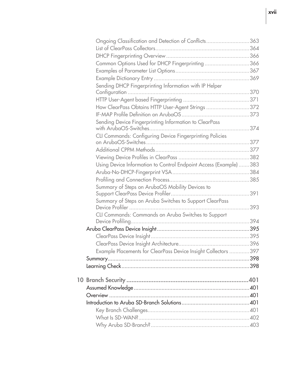| Ongoing Classification and Detection of Conflicts363             |  |
|------------------------------------------------------------------|--|
|                                                                  |  |
|                                                                  |  |
| Common Options Used for DHCP Fingerprinting 366                  |  |
|                                                                  |  |
|                                                                  |  |
| Sending DHCP Fingerprinting Information with IP Helper           |  |
|                                                                  |  |
|                                                                  |  |
| How ClearPass Obtains HTTP User-Agent Strings 372                |  |
|                                                                  |  |
| Sending Device Fingerprinting Information to ClearPass           |  |
| CLI Commands: Configuring Device Fingerprinting Policies         |  |
|                                                                  |  |
|                                                                  |  |
|                                                                  |  |
| Using Device Information to Control Endpoint Access (Example)383 |  |
|                                                                  |  |
|                                                                  |  |
| Summary of Steps on ArubaOS Mobility Devices to                  |  |
| Summary of Steps on Aruba Switches to Support ClearPass          |  |
|                                                                  |  |
| CLI Commands: Commands on Aruba Switches to Support              |  |
|                                                                  |  |
|                                                                  |  |
|                                                                  |  |
| Example Placements for ClearPass Device Insight Collectors 397   |  |
|                                                                  |  |
|                                                                  |  |
|                                                                  |  |
|                                                                  |  |
|                                                                  |  |
|                                                                  |  |
|                                                                  |  |
|                                                                  |  |
|                                                                  |  |
|                                                                  |  |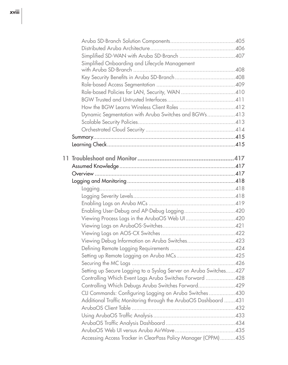| Simplified Onboarding and Lifecycle Management                     |  |
|--------------------------------------------------------------------|--|
|                                                                    |  |
|                                                                    |  |
|                                                                    |  |
|                                                                    |  |
|                                                                    |  |
|                                                                    |  |
| Dynamic Segmentation with Aruba Switches and BGWs 413              |  |
|                                                                    |  |
|                                                                    |  |
|                                                                    |  |
|                                                                    |  |
|                                                                    |  |
|                                                                    |  |
|                                                                    |  |
|                                                                    |  |
|                                                                    |  |
|                                                                    |  |
|                                                                    |  |
|                                                                    |  |
|                                                                    |  |
|                                                                    |  |
|                                                                    |  |
|                                                                    |  |
| Viewing Debug Information on Aruba Switches423                     |  |
|                                                                    |  |
|                                                                    |  |
|                                                                    |  |
| Setting up Secure Logging to a Syslog Server on Aruba Switches 427 |  |
| Controlling Which Event Logs Aruba Switches Forward  428           |  |
| Controlling Which Debugs Aruba Switches Forward429                 |  |
| CLI Commands: Configuring Logging on Aruba Switches430             |  |
| Additional Traffic Monitoring through the ArubaOS Dashboard  431   |  |
|                                                                    |  |
|                                                                    |  |
|                                                                    |  |
|                                                                    |  |
| Accessing Access Tracker in ClearPass Policy Manager (CPPM) 435    |  |
|                                                                    |  |

## xviii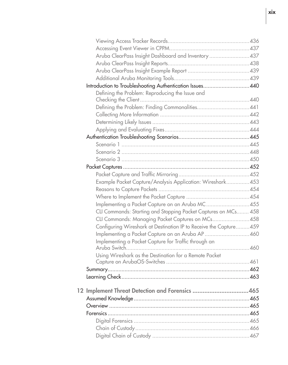|  | Aruba ClearPass Insight Dashboard and Inventory 437               |  |
|--|-------------------------------------------------------------------|--|
|  |                                                                   |  |
|  |                                                                   |  |
|  |                                                                   |  |
|  | Introduction to Troubleshooting Authentication Issues440          |  |
|  | Defining the Problem: Reproducing the Issue and                   |  |
|  |                                                                   |  |
|  |                                                                   |  |
|  |                                                                   |  |
|  |                                                                   |  |
|  |                                                                   |  |
|  |                                                                   |  |
|  |                                                                   |  |
|  |                                                                   |  |
|  |                                                                   |  |
|  |                                                                   |  |
|  |                                                                   |  |
|  | Example Packet Capture/Analysis Application: Wireshark453         |  |
|  |                                                                   |  |
|  |                                                                   |  |
|  | Implementing a Packet Capture on an Aruba MC455                   |  |
|  | CLI Commands: Starting and Stopping Packet Captures on MCs 458    |  |
|  | CLI Commands: Managing Packet Captures on MCs458                  |  |
|  | Configuring Wireshark at Destination IP to Receive the Capture459 |  |
|  | Implementing a Packet Capture on an Aruba AP460                   |  |
|  | Implementing a Packet Capture for Traffic through an              |  |
|  |                                                                   |  |
|  | Using Wireshark as the Destination for a Remote Packet            |  |
|  |                                                                   |  |
|  |                                                                   |  |
|  |                                                                   |  |
|  | 12 Implement Threat Detection and Forensics 465                   |  |
|  |                                                                   |  |
|  |                                                                   |  |
|  |                                                                   |  |
|  |                                                                   |  |
|  |                                                                   |  |
|  |                                                                   |  |
|  |                                                                   |  |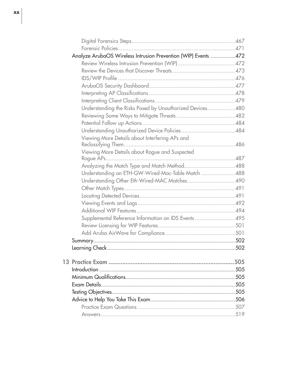| Analyze ArubaOS Wireless Intrusion Prevention (WIP) Events  472 |  |
|-----------------------------------------------------------------|--|
|                                                                 |  |
|                                                                 |  |
|                                                                 |  |
|                                                                 |  |
|                                                                 |  |
|                                                                 |  |
| Understanding the Risks Posed by Unauthorized Devices 480       |  |
|                                                                 |  |
|                                                                 |  |
|                                                                 |  |
| Viewing More Details about Interfering APs and                  |  |
|                                                                 |  |
| Viewing More Details about Rogue and Suspected                  |  |
|                                                                 |  |
|                                                                 |  |
| Understanding an ETH-GW-Wired-Mac-Table Match 488               |  |
|                                                                 |  |
|                                                                 |  |
|                                                                 |  |
|                                                                 |  |
|                                                                 |  |
| Supplemental Reference Information on IDS Events 495            |  |
|                                                                 |  |
|                                                                 |  |
|                                                                 |  |
|                                                                 |  |
|                                                                 |  |
|                                                                 |  |
|                                                                 |  |
|                                                                 |  |
|                                                                 |  |
|                                                                 |  |
|                                                                 |  |
|                                                                 |  |
|                                                                 |  |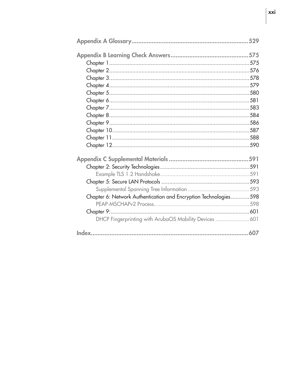| Chapter 6: Network Authentication and Encryption Technologies598 |  |
|------------------------------------------------------------------|--|
|                                                                  |  |
|                                                                  |  |
| DHCP Fingerprinting with ArubaOS Mobility Devices 601            |  |
|                                                                  |  |
|                                                                  |  |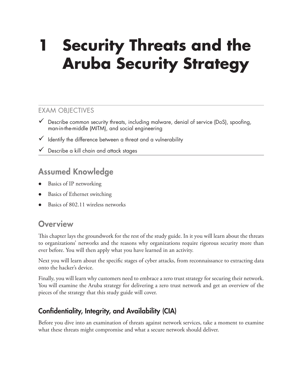# **1 Security Threats and the Aruba Security Strategy**

#### EXAM OBJECTIVES

- $\checkmark$  Describe common security threats, including malware, denial of service (DoS), spoofing, man-in-the-middle (MITM), and social engineering
- $\checkmark$  Identify the difference between a threat and a vulnerability
- $\checkmark$  Describe a kill chain and attack stages

## Assumed Knowledge

- Basics of IP networking
- Basics of Ethernet switching
- Basics of 802.11 wireless networks

### **Overview**

This chapter lays the groundwork for the rest of the study guide. In it you will learn about the threats to organizations' networks and the reasons why organizations require rigorous security more than ever before. You will then apply what you have learned in an activity.

Next you will learn about the specific stages of cyber attacks, from reconnaissance to extracting data onto the hacker's device.

Finally, you will learn why customers need to embrace a zero trust strategy for securing their network. You will examine the Aruba strategy for delivering a zero trust network and get an overview of the pieces of the strategy that this study guide will cover.

## Confidentiality, Integrity, and Availability (CIA)

Before you dive into an examination of threats against network services, take a moment to examine what these threats might compromise and what a secure network should deliver.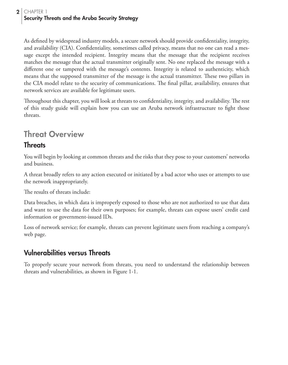As defined by widespread industry models, a secure network should provide confidentiality, integrity, and availability (CIA). Confidentiality, sometimes called privacy, means that no one can read a message except the intended recipient. Integrity means that the message that the recipient receives matches the message that the actual transmitter originally sent. No one replaced the message with a different one or tampered with the message's contents. Integrity is related to authenticity, which means that the supposed transmitter of the message is the actual transmitter. These two pillars in the CIA model relate to the security of communications. The final pillar, availability, ensures that network services are available for legitimate users.

Throughout this chapter, you will look at threats to confidentiality, integrity, and availability. The rest of this study guide will explain how you can use an Aruba network infrastructure to fight those threats.

# Threat Overview

#### **Threats**

You will begin by looking at common threats and the risks that they pose to your customers' networks and business.

A threat broadly refers to any action executed or initiated by a bad actor who uses or attempts to use the network inappropriately.

The results of threats include:

Data breaches, in which data is improperly exposed to those who are not authorized to use that data and want to use the data for their own purposes; for example, threats can expose users' credit card information or government-issued IDs.

Loss of network service; for example, threats can prevent legitimate users from reaching a company's web page.

### Vulnerabilities versus Threats

To properly secure your network from threats, you need to understand the relationship between threats and vulnerabilities, as shown in Figure 1-1.